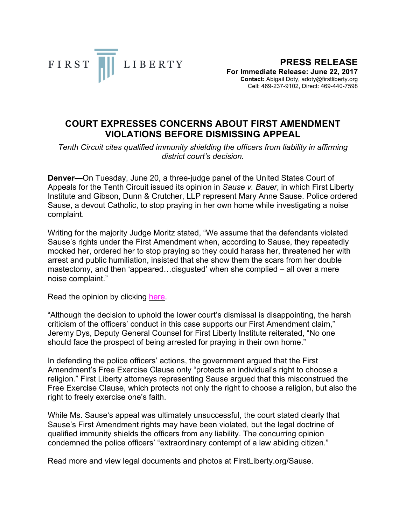

## **COURT EXPRESSES CONCERNS ABOUT FIRST AMENDMENT VIOLATIONS BEFORE DISMISSING APPEAL**

*Tenth Circuit cites qualified immunity shielding the officers from liability in affirming district court's decision.*

**Denver—**On Tuesday, June 20, a three-judge panel of the United States Court of Appeals for the Tenth Circuit issued its opinion in *Sause v. Bauer*, in which First Liberty Institute and Gibson, Dunn & Crutcher, LLP represent Mary Anne Sause. Police ordered Sause, a devout Catholic, to stop praying in her own home while investigating a noise complaint.

Writing for the majority Judge Moritz stated, "We assume that the defendants violated Sause's rights under the First Amendment when, according to Sause, they repeatedly mocked her, ordered her to stop praying so they could harass her, threatened her with arrest and public humiliation, insisted that she show them the scars from her double mastectomy, and then 'appeared…disgusted' when she complied – all over a mere noise complaint."

Read the opinion by clicking here.

"Although the decision to uphold the lower court's dismissal is disappointing, the harsh criticism of the officers' conduct in this case supports our First Amendment claim," Jeremy Dys, Deputy General Counsel for First Liberty Institute reiterated, "No one should face the prospect of being arrested for praying in their own home."

In defending the police officers' actions, the government argued that the First Amendment's Free Exercise Clause only "protects an individual's right to choose a religion." First Liberty attorneys representing Sause argued that this misconstrued the Free Exercise Clause, which protects not only the right to choose a religion, but also the right to freely exercise one's faith.

While Ms. Sause's appeal was ultimately unsuccessful, the court stated clearly that Sause's First Amendment rights may have been violated, but the legal doctrine of qualified immunity shields the officers from any liability. The concurring opinion condemned the police officers' "extraordinary contempt of a law abiding citizen."

Read more and view legal documents and photos at FirstLiberty.org/Sause.